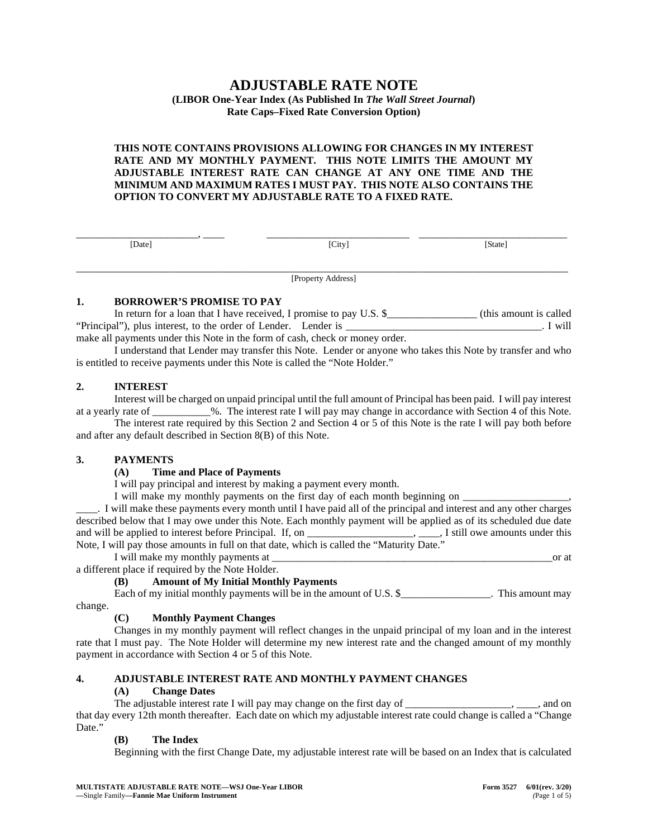# **ADJUSTABLE RATE NOTE**

### **(LIBOR One-Year Index (As Published In** *The Wall Street Journal***) Rate Caps–Fixed Rate Conversion Option)**

#### **THIS NOTE CONTAINS PROVISIONS ALLOWING FOR CHANGES IN MY INTEREST RATE AND MY MONTHLY PAYMENT. THIS NOTE LIMITS THE AMOUNT MY ADJUSTABLE INTEREST RATE CAN CHANGE AT ANY ONE TIME AND THE MINIMUM AND MAXIMUM RATES I MUST PAY. THIS NOTE ALSO CONTAINS THE OPTION TO CONVERT MY ADJUSTABLE RATE TO A FIXED RATE.**

| _____  | __     |         |
|--------|--------|---------|
| [Date] | [City] | [State] |
|        |        |         |
|        |        |         |
|        |        |         |

[Property Address]

## **1. BORROWER'S PROMISE TO PAY**

In return for a loan that I have received, I promise to pay U.S. \$\_\_\_\_\_\_\_\_\_\_\_\_\_\_\_\_\_\_\_ (this amount is called "Principal"), plus interest, to the order of Lender. Lender is \_\_\_\_\_\_\_\_\_\_\_\_\_\_\_\_\_\_\_\_\_\_\_\_\_\_\_\_\_\_\_\_\_. I will make all payments under this Note in the form of cash, check or money order.

I understand that Lender may transfer this Note. Lender or anyone who takes this Note by transfer and who is entitled to receive payments under this Note is called the "Note Holder."

## **2. INTEREST**

Interest will be charged on unpaid principal until the full amount of Principal has been paid. I will pay interest at a yearly rate of \_\_\_\_\_\_\_\_\_\_\_%. The interest rate I will pay may change in accordance with Section 4 of this Note.

The interest rate required by this Section 2 and Section 4 or 5 of this Note is the rate I will pay both before and after any default described in Section 8(B) of this Note.

## **3. PAYMENTS**

### **(A) Time and Place of Payments**

I will pay principal and interest by making a payment every month.

I will make my monthly payments on the first day of each month beginning on

\_\_\_\_. I will make these payments every month until I have paid all of the principal and interest and any other charges described below that I may owe under this Note. Each monthly payment will be applied as of its scheduled due date and will be applied to interest before Principal. If, on \_\_\_\_\_\_\_\_\_\_\_\_\_\_\_\_\_\_\_\_\_, \_\_\_\_, I still owe amounts under this Note, I will pay those amounts in full on that date, which is called the "Maturity Date."

I will make my monthly payments at \_\_\_\_\_\_\_\_\_\_\_\_\_\_\_\_\_\_\_\_\_\_\_\_\_\_\_\_\_\_\_\_\_\_\_\_\_\_\_\_\_\_\_\_\_\_\_\_\_\_\_\_\_or at

# a different place if required by the Note Holder.

## **(B) Amount of My Initial Monthly Payments**

Each of my initial monthly payments will be in the amount of U.S. \$\_\_\_\_\_\_\_\_\_\_\_\_\_\_\_. This amount may change.

#### **(C) Monthly Payment Changes**

Changes in my monthly payment will reflect changes in the unpaid principal of my loan and in the interest rate that I must pay. The Note Holder will determine my new interest rate and the changed amount of my monthly payment in accordance with Section 4 or 5 of this Note.

### **4. ADJUSTABLE INTEREST RATE AND MONTHLY PAYMENT CHANGES**

#### **(A) Change Dates**

The adjustable interest rate I will pay may change on the first day of \_\_\_\_\_\_\_\_\_\_\_\_\_\_\_\_, \_\_\_\_, and on that day every 12th month thereafter. Each date on which my adjustable interest rate could change is called a "Change Date."

#### **(B) The Index**

Beginning with the first Change Date, my adjustable interest rate will be based on an Index that is calculated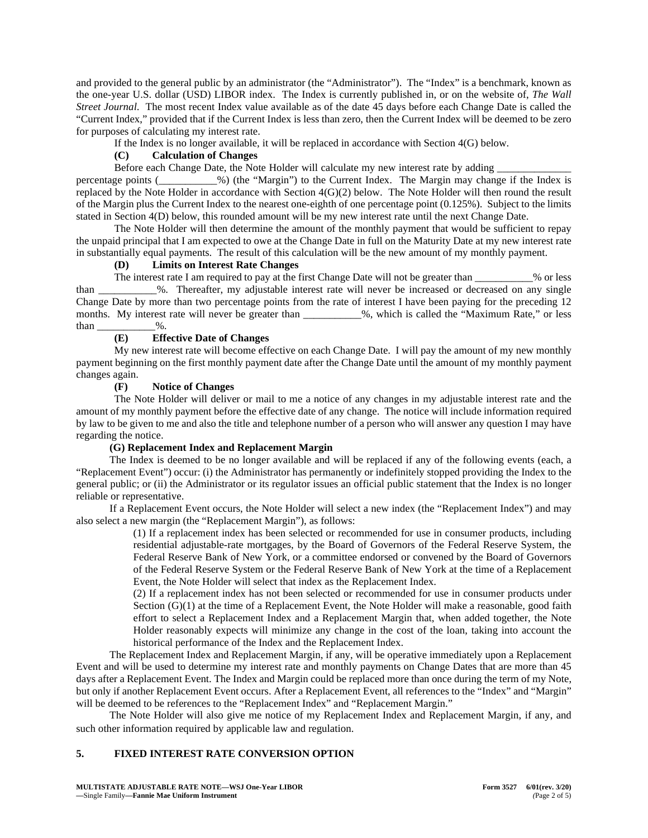and provided to the general public by an administrator (the "Administrator"). The "Index" is a benchmark, known as the one-year U.S. dollar (USD) LIBOR index. The Index is currently published in, or on the website of, *The Wall Street Journal*. The most recent Index value available as of the date 45 days before each Change Date is called the "Current Index," provided that if the Current Index is less than zero, then the Current Index will be deemed to be zero for purposes of calculating my interest rate.

If the Index is no longer available, it will be replaced in accordance with Section 4(G) below.

## **(C) Calculation of Changes**

Before each Change Date, the Note Holder will calculate my new interest rate by adding

percentage points (\_\_\_\_\_\_\_\_\_\_\_%) (the "Margin") to the Current Index. The Margin may change if the Index is replaced by the Note Holder in accordance with Section 4(G)(2) below. The Note Holder will then round the result of the Margin plus the Current Index to the nearest one-eighth of one percentage point  $(0.125\%)$ . Subject to the limits stated in Section 4(D) below, this rounded amount will be my new interest rate until the next Change Date.

The Note Holder will then determine the amount of the monthly payment that would be sufficient to repay the unpaid principal that I am expected to owe at the Change Date in full on the Maturity Date at my new interest rate in substantially equal payments. The result of this calculation will be the new amount of my monthly payment.

### **(D) Limits on Interest Rate Changes**

The interest rate I am required to pay at the first Change Date will not be greater than \_\_\_\_\_\_\_\_\_\_\_% or less than \_\_\_\_\_\_\_\_\_\_\_%. Thereafter, my adjustable interest rate will never be increased or decreased on any single Change Date by more than two percentage points from the rate of interest I have been paying for the preceding 12 months. My interest rate will never be greater than \_\_\_\_\_\_\_\_\_\_\_%, which is called the "Maximum Rate," or less than  $\frac{1}{2}$ %.

## **(E) Effective Date of Changes**

My new interest rate will become effective on each Change Date. I will pay the amount of my new monthly payment beginning on the first monthly payment date after the Change Date until the amount of my monthly payment changes again.

#### **(F) Notice of Changes**

The Note Holder will deliver or mail to me a notice of any changes in my adjustable interest rate and the amount of my monthly payment before the effective date of any change. The notice will include information required by law to be given to me and also the title and telephone number of a person who will answer any question I may have regarding the notice.

#### **(G) Replacement Index and Replacement Margin**

The Index is deemed to be no longer available and will be replaced if any of the following events (each, a "Replacement Event") occur: (i) the Administrator has permanently or indefinitely stopped providing the Index to the general public; or (ii) the Administrator or its regulator issues an official public statement that the Index is no longer reliable or representative.

If a Replacement Event occurs, the Note Holder will select a new index (the "Replacement Index") and may also select a new margin (the "Replacement Margin"), as follows:

(1) If a replacement index has been selected or recommended for use in consumer products, including residential adjustable-rate mortgages, by the Board of Governors of the Federal Reserve System, the Federal Reserve Bank of New York, or a committee endorsed or convened by the Board of Governors of the Federal Reserve System or the Federal Reserve Bank of New York at the time of a Replacement Event, the Note Holder will select that index as the Replacement Index.

(2) If a replacement index has not been selected or recommended for use in consumer products under Section (G)(1) at the time of a Replacement Event, the Note Holder will make a reasonable, good faith effort to select a Replacement Index and a Replacement Margin that, when added together, the Note Holder reasonably expects will minimize any change in the cost of the loan, taking into account the historical performance of the Index and the Replacement Index.

The Replacement Index and Replacement Margin, if any, will be operative immediately upon a Replacement Event and will be used to determine my interest rate and monthly payments on Change Dates that are more than 45 days after a Replacement Event. The Index and Margin could be replaced more than once during the term of my Note, but only if another Replacement Event occurs. After a Replacement Event, all references to the "Index" and "Margin" will be deemed to be references to the "Replacement Index" and "Replacement Margin."

The Note Holder will also give me notice of my Replacement Index and Replacement Margin, if any, and such other information required by applicable law and regulation.

## **5. FIXED INTEREST RATE CONVERSION OPTION**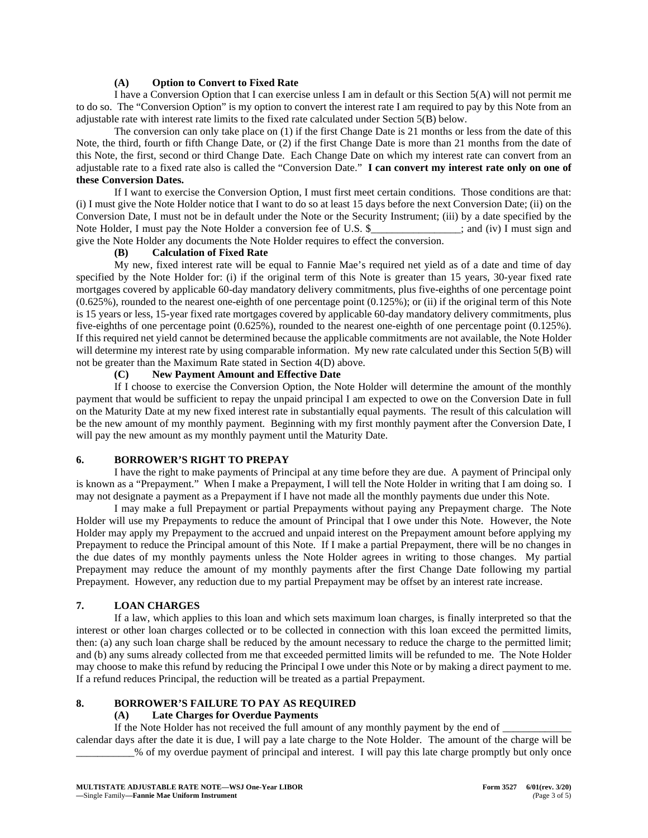#### **(A) Option to Convert to Fixed Rate**

I have a Conversion Option that I can exercise unless I am in default or this Section 5(A) will not permit me to do so. The "Conversion Option" is my option to convert the interest rate I am required to pay by this Note from an adjustable rate with interest rate limits to the fixed rate calculated under Section 5(B) below.

The conversion can only take place on (1) if the first Change Date is 21 months or less from the date of this Note, the third, fourth or fifth Change Date, or (2) if the first Change Date is more than 21 months from the date of this Note, the first, second or third Change Date. Each Change Date on which my interest rate can convert from an adjustable rate to a fixed rate also is called the "Conversion Date." **I can convert my interest rate only on one of these Conversion Dates.**

If I want to exercise the Conversion Option, I must first meet certain conditions. Those conditions are that: (i) I must give the Note Holder notice that I want to do so at least 15 days before the next Conversion Date; (ii) on the Conversion Date, I must not be in default under the Note or the Security Instrument; (iii) by a date specified by the Note Holder, I must pay the Note Holder a conversion fee of U.S.  $\$$  : and (iv) I must sign and give the Note Holder any documents the Note Holder requires to effect the conversion.

#### **(B) Calculation of Fixed Rate**

My new, fixed interest rate will be equal to Fannie Mae's required net yield as of a date and time of day specified by the Note Holder for: (i) if the original term of this Note is greater than 15 years, 30-year fixed rate mortgages covered by applicable 60-day mandatory delivery commitments, plus five-eighths of one percentage point (0.625%), rounded to the nearest one-eighth of one percentage point (0.125%); or (ii) if the original term of this Note is 15 years or less, 15-year fixed rate mortgages covered by applicable 60-day mandatory delivery commitments, plus five-eighths of one percentage point (0.625%), rounded to the nearest one-eighth of one percentage point (0.125%). If this required net yield cannot be determined because the applicable commitments are not available, the Note Holder will determine my interest rate by using comparable information. My new rate calculated under this Section 5(B) will not be greater than the Maximum Rate stated in Section 4(D) above.

#### **(C) New Payment Amount and Effective Date**

If I choose to exercise the Conversion Option, the Note Holder will determine the amount of the monthly payment that would be sufficient to repay the unpaid principal I am expected to owe on the Conversion Date in full on the Maturity Date at my new fixed interest rate in substantially equal payments. The result of this calculation will be the new amount of my monthly payment. Beginning with my first monthly payment after the Conversion Date, I will pay the new amount as my monthly payment until the Maturity Date.

## **6. BORROWER'S RIGHT TO PREPAY**

I have the right to make payments of Principal at any time before they are due. A payment of Principal only is known as a "Prepayment." When I make a Prepayment, I will tell the Note Holder in writing that I am doing so. I may not designate a payment as a Prepayment if I have not made all the monthly payments due under this Note.

I may make a full Prepayment or partial Prepayments without paying any Prepayment charge. The Note Holder will use my Prepayments to reduce the amount of Principal that I owe under this Note. However, the Note Holder may apply my Prepayment to the accrued and unpaid interest on the Prepayment amount before applying my Prepayment to reduce the Principal amount of this Note. If I make a partial Prepayment, there will be no changes in the due dates of my monthly payments unless the Note Holder agrees in writing to those changes. My partial Prepayment may reduce the amount of my monthly payments after the first Change Date following my partial Prepayment. However, any reduction due to my partial Prepayment may be offset by an interest rate increase.

#### **7. LOAN CHARGES**

If a law, which applies to this loan and which sets maximum loan charges, is finally interpreted so that the interest or other loan charges collected or to be collected in connection with this loan exceed the permitted limits, then: (a) any such loan charge shall be reduced by the amount necessary to reduce the charge to the permitted limit; and (b) any sums already collected from me that exceeded permitted limits will be refunded to me. The Note Holder may choose to make this refund by reducing the Principal I owe under this Note or by making a direct payment to me. If a refund reduces Principal, the reduction will be treated as a partial Prepayment.

#### **8. BORROWER'S FAILURE TO PAY AS REQUIRED**

### **(A) Late Charges for Overdue Payments**

If the Note Holder has not received the full amount of any monthly payment by the end of

calendar days after the date it is due, I will pay a late charge to the Note Holder. The amount of the charge will be \_\_\_\_\_\_\_\_\_\_\_% of my overdue payment of principal and interest. I will pay this late charge promptly but only once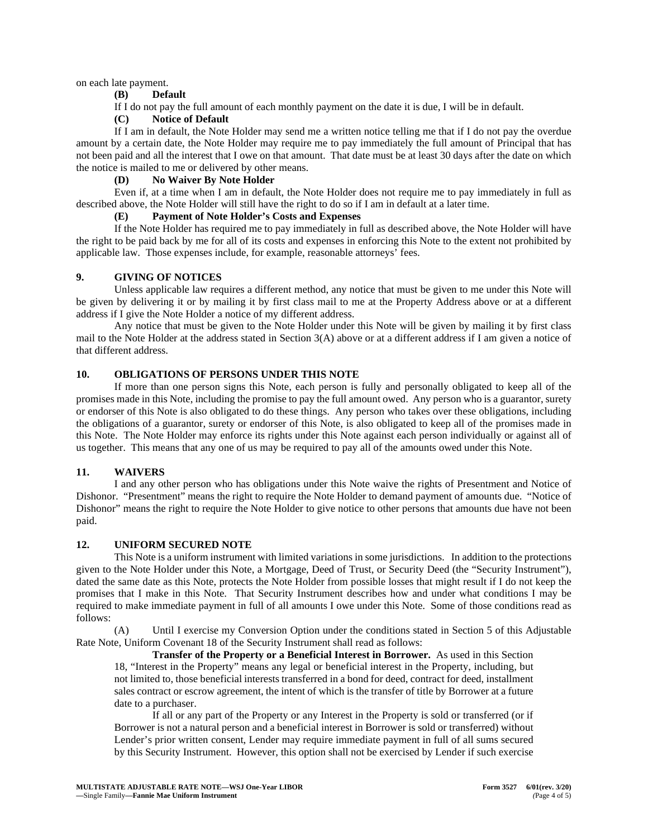on each late payment.

#### **(B) Default**

If I do not pay the full amount of each monthly payment on the date it is due, I will be in default.

#### **(C) Notice of Default**

If I am in default, the Note Holder may send me a written notice telling me that if I do not pay the overdue amount by a certain date, the Note Holder may require me to pay immediately the full amount of Principal that has not been paid and all the interest that I owe on that amount. That date must be at least 30 days after the date on which the notice is mailed to me or delivered by other means.

#### **(D) No Waiver By Note Holder**

Even if, at a time when I am in default, the Note Holder does not require me to pay immediately in full as described above, the Note Holder will still have the right to do so if I am in default at a later time.

#### **(E) Payment of Note Holder's Costs and Expenses**

If the Note Holder has required me to pay immediately in full as described above, the Note Holder will have the right to be paid back by me for all of its costs and expenses in enforcing this Note to the extent not prohibited by applicable law. Those expenses include, for example, reasonable attorneys' fees.

#### **9. GIVING OF NOTICES**

Unless applicable law requires a different method, any notice that must be given to me under this Note will be given by delivering it or by mailing it by first class mail to me at the Property Address above or at a different address if I give the Note Holder a notice of my different address.

Any notice that must be given to the Note Holder under this Note will be given by mailing it by first class mail to the Note Holder at the address stated in Section 3(A) above or at a different address if I am given a notice of that different address.

#### **10. OBLIGATIONS OF PERSONS UNDER THIS NOTE**

If more than one person signs this Note, each person is fully and personally obligated to keep all of the promises made in this Note, including the promise to pay the full amount owed. Any person who is a guarantor, surety or endorser of this Note is also obligated to do these things. Any person who takes over these obligations, including the obligations of a guarantor, surety or endorser of this Note, is also obligated to keep all of the promises made in this Note. The Note Holder may enforce its rights under this Note against each person individually or against all of us together. This means that any one of us may be required to pay all of the amounts owed under this Note.

#### **11. WAIVERS**

I and any other person who has obligations under this Note waive the rights of Presentment and Notice of Dishonor. "Presentment" means the right to require the Note Holder to demand payment of amounts due. "Notice of Dishonor" means the right to require the Note Holder to give notice to other persons that amounts due have not been paid.

#### **12. UNIFORM SECURED NOTE**

This Note is a uniform instrument with limited variations in some jurisdictions. In addition to the protections given to the Note Holder under this Note, a Mortgage, Deed of Trust, or Security Deed (the "Security Instrument"), dated the same date as this Note, protects the Note Holder from possible losses that might result if I do not keep the promises that I make in this Note. That Security Instrument describes how and under what conditions I may be required to make immediate payment in full of all amounts I owe under this Note. Some of those conditions read as follows:

(A) Until I exercise my Conversion Option under the conditions stated in Section 5 of this Adjustable Rate Note, Uniform Covenant 18 of the Security Instrument shall read as follows:

**Transfer of the Property or a Beneficial Interest in Borrower.** As used in this Section 18, "Interest in the Property" means any legal or beneficial interest in the Property, including, but not limited to, those beneficial interests transferred in a bond for deed, contract for deed, installment sales contract or escrow agreement, the intent of which is the transfer of title by Borrower at a future date to a purchaser.

If all or any part of the Property or any Interest in the Property is sold or transferred (or if Borrower is not a natural person and a beneficial interest in Borrower is sold or transferred) without Lender's prior written consent, Lender may require immediate payment in full of all sums secured by this Security Instrument. However, this option shall not be exercised by Lender if such exercise